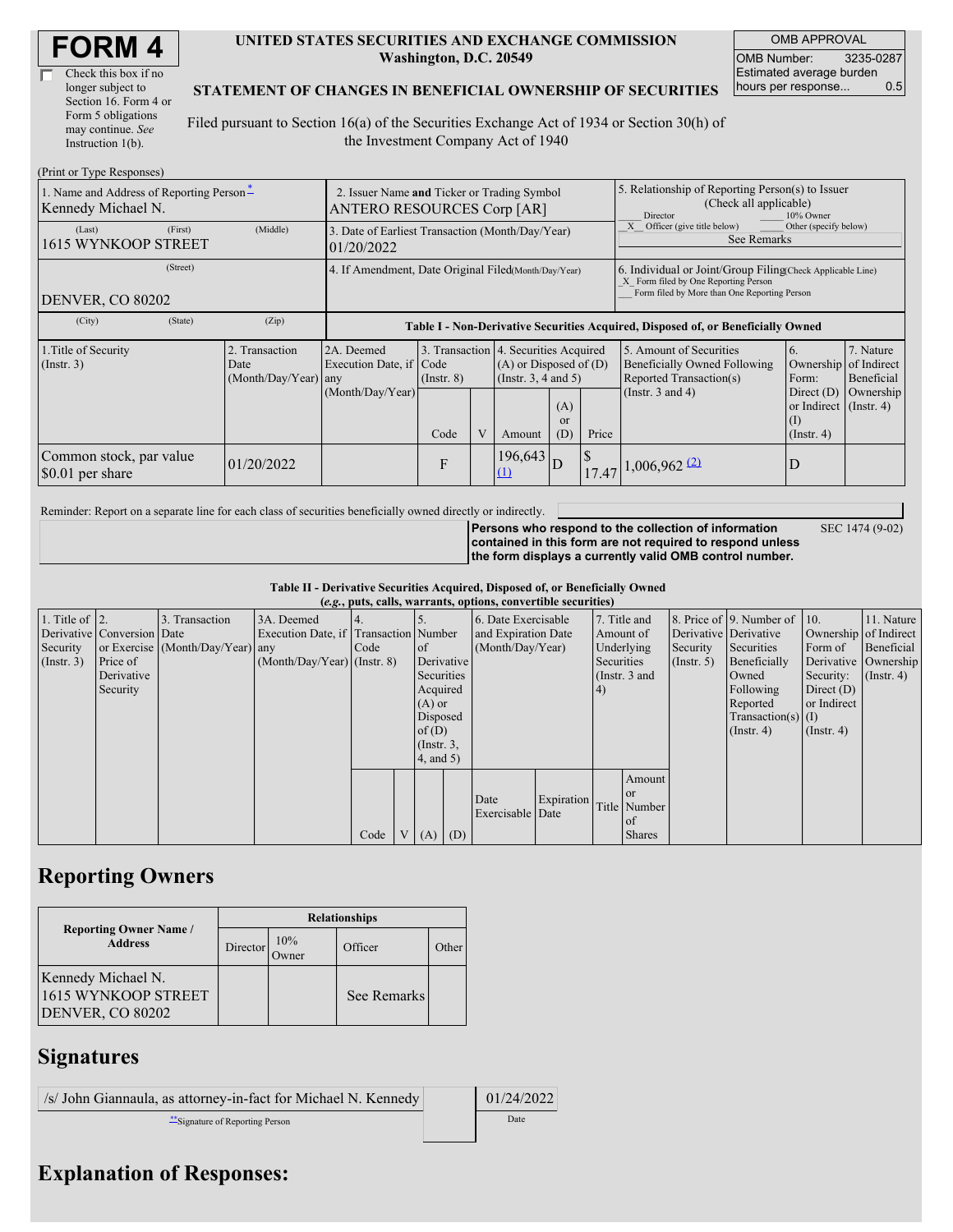| Check this box if no  |
|-----------------------|
| longer subject to     |
| Section 16. Form 4 or |
| Form 5 obligations    |
| may continue. See     |
| Instruction 1(b).     |

### **UNITED STATES SECURITIES AND EXCHANGE COMMISSION Washington, D.C. 20549**

OMB APPROVAL OMB Number: 3235-0287 Estimated average burden hours per response... 0.5

## **STATEMENT OF CHANGES IN BENEFICIAL OWNERSHIP OF SECURITIES**

Filed pursuant to Section 16(a) of the Securities Exchange Act of 1934 or Section 30(h) of the Investment Company Act of 1940

| (Print or Type Responses)                                      |                                                                                                                                                                                                                                                   |            |                                                                                  |                                                                                                                    |                                                                                                                         |                                      |                                                                                                                                                    |       |                                                                                                     |                  |  |  |
|----------------------------------------------------------------|---------------------------------------------------------------------------------------------------------------------------------------------------------------------------------------------------------------------------------------------------|------------|----------------------------------------------------------------------------------|--------------------------------------------------------------------------------------------------------------------|-------------------------------------------------------------------------------------------------------------------------|--------------------------------------|----------------------------------------------------------------------------------------------------------------------------------------------------|-------|-----------------------------------------------------------------------------------------------------|------------------|--|--|
| 1. Name and Address of Reporting Person*<br>Kennedy Michael N. |                                                                                                                                                                                                                                                   |            | 2. Issuer Name and Ticker or Trading Symbol<br><b>ANTERO RESOURCES Corp [AR]</b> |                                                                                                                    |                                                                                                                         |                                      |                                                                                                                                                    |       | 5. Relationship of Reporting Person(s) to Issuer<br>(Check all applicable)<br>Director<br>10% Owner |                  |  |  |
| (Last)<br>1615 WYNKOOP STREET                                  | (First)                                                                                                                                                                                                                                           | (Middle)   | 3. Date of Earliest Transaction (Month/Day/Year)<br>01/20/2022                   |                                                                                                                    |                                                                                                                         |                                      |                                                                                                                                                    |       | Other (specify below)<br>Officer (give title below)<br>See Remarks                                  |                  |  |  |
| (Street)<br>DENVER, CO 80202                                   | 4. If Amendment, Date Original Filed(Month/Day/Year)                                                                                                                                                                                              |            |                                                                                  |                                                                                                                    |                                                                                                                         |                                      | 6. Individual or Joint/Group Filing(Check Applicable Line)<br>X Form filed by One Reporting Person<br>Form filed by More than One Reporting Person |       |                                                                                                     |                  |  |  |
| (City)                                                         | (State)                                                                                                                                                                                                                                           | (Zip)      | Table I - Non-Derivative Securities Acquired, Disposed of, or Beneficially Owned |                                                                                                                    |                                                                                                                         |                                      |                                                                                                                                                    |       |                                                                                                     |                  |  |  |
| 1. Title of Security<br>$($ Instr. 3 $)$                       | 3. Transaction 4. Securities Acquired<br>Transaction<br>2A. Deemed<br>$(A)$ or Disposed of $(D)$<br>Execution Date, if Code<br>Date<br>(Instr. 3, 4 and 5)<br>(Month/Day/Year) any<br>$($ Instr. $8)$<br>(Month/Day/Year)<br>(A)<br><sub>or</sub> |            |                                                                                  | 5. Amount of Securities<br><b>Beneficially Owned Following</b><br>Reported Transaction(s)<br>(Instr. $3$ and $4$ ) | <sup>6.</sup><br>Ownership of Indirect<br>Form:<br>Direct $(D)$<br>or Indirect (Instr. 4)<br>$\left( \mathrm{I}\right)$ | 7. Nature<br>Beneficial<br>Ownership |                                                                                                                                                    |       |                                                                                                     |                  |  |  |
|                                                                |                                                                                                                                                                                                                                                   |            |                                                                                  | Code                                                                                                               | V                                                                                                                       | Amount                               | (D)                                                                                                                                                | Price |                                                                                                     | $($ Instr. 4 $)$ |  |  |
| Common stock, par value<br>\$0.01 per share                    |                                                                                                                                                                                                                                                   | 01/20/2022 |                                                                                  | $\mathbf{F}$                                                                                                       |                                                                                                                         | 196,643<br>(1)                       | D                                                                                                                                                  |       | $17.47\left 1,006,962\right \right.$                                                                | D                |  |  |

Reminder: Report on a separate line for each class of securities beneficially owned directly or indirectly.

SEC 1474 (9-02)

**Persons who respond to the collection of information contained in this form are not required to respond unless the form displays a currently valid OMB control number.**

**Table II - Derivative Securities Acquired, Disposed of, or Beneficially Owned (***e.g.***, puts, calls, warrants, options, convertible securities)**

|                        | $(c, g, \mu u, \alpha u)$ , variants, options, convertible securities) |                                  |                                       |        |  |                     |            |                     |            |                       |               |                       |                              |                  |                      |
|------------------------|------------------------------------------------------------------------|----------------------------------|---------------------------------------|--------|--|---------------------|------------|---------------------|------------|-----------------------|---------------|-----------------------|------------------------------|------------------|----------------------|
| 1. Title of $\vert$ 2. |                                                                        | 3. Transaction                   | 3A. Deemed                            |        |  |                     |            | 6. Date Exercisable |            | 7. Title and          |               |                       | 8. Price of 9. Number of 10. |                  | 11. Nature           |
|                        | Derivative Conversion Date                                             |                                  | Execution Date, if Transaction Number |        |  | and Expiration Date |            |                     | Amount of  | Derivative Derivative |               | Ownership of Indirect |                              |                  |                      |
| Security               |                                                                        | or Exercise (Month/Day/Year) any |                                       | I Code |  | of                  |            | (Month/Day/Year)    |            | Underlying            |               | Security              | Securities                   | Form of          | Beneficial           |
| (Insert. 3)            | Price of                                                               |                                  | $(Month/Day/Year)$ (Instr. 8)         |        |  | Derivative          |            |                     |            | Securities            |               | $($ Instr. 5 $)$      | Beneficially                 |                  | Derivative Ownership |
|                        | Derivative                                                             |                                  |                                       |        |  | Securities          |            |                     |            |                       | (Instr. 3 and |                       | Owned                        | Security:        | $($ Instr. 4)        |
|                        | Security                                                               |                                  |                                       |        |  | Acquired            |            |                     |            | 4)                    |               |                       | Following                    | Direct $(D)$     |                      |
|                        |                                                                        |                                  |                                       |        |  | $(A)$ or            |            |                     |            |                       |               |                       | Reported                     | or Indirect      |                      |
|                        |                                                                        |                                  |                                       |        |  | Disposed            |            |                     |            |                       |               |                       | Transaction(s) $(I)$         |                  |                      |
|                        |                                                                        |                                  |                                       |        |  | of $(D)$            |            |                     |            |                       |               |                       | $($ Instr. 4 $)$             | $($ Instr. 4 $)$ |                      |
|                        |                                                                        |                                  |                                       |        |  | $($ Instr. $3,$     |            |                     |            |                       |               |                       |                              |                  |                      |
|                        |                                                                        |                                  |                                       |        |  |                     | (4, and 5) |                     |            |                       |               |                       |                              |                  |                      |
|                        |                                                                        |                                  |                                       |        |  |                     |            |                     |            |                       | Amount        |                       |                              |                  |                      |
|                        |                                                                        |                                  |                                       |        |  |                     |            | Date                | Expiration |                       | or or         |                       |                              |                  |                      |
|                        |                                                                        |                                  |                                       |        |  |                     |            | Exercisable Date    |            |                       | Title Number  |                       |                              |                  |                      |
|                        |                                                                        |                                  |                                       |        |  |                     |            |                     |            |                       | of            |                       |                              |                  |                      |
|                        |                                                                        |                                  |                                       | Code   |  | $V(A)$ (D)          |            |                     |            |                       | <b>Shares</b> |                       |                              |                  |                      |

# **Reporting Owners**

|                                                                      | <b>Relationships</b> |                      |             |       |  |  |  |  |  |
|----------------------------------------------------------------------|----------------------|----------------------|-------------|-------|--|--|--|--|--|
| <b>Reporting Owner Name /</b><br><b>Address</b>                      | Director             | 10%<br><b>J</b> wner | Officer     | Other |  |  |  |  |  |
| Kennedy Michael N.<br>1615 WYNKOOP STREET<br><b>DENVER, CO 80202</b> |                      |                      | See Remarks |       |  |  |  |  |  |

## **Signatures**

 $\sqrt{s}$  John Giannaula, as attorney-in-fact for Michael N. Kennedy 01/24/2022 \*\*Signature of Reporting Person Date

# **Explanation of Responses:**